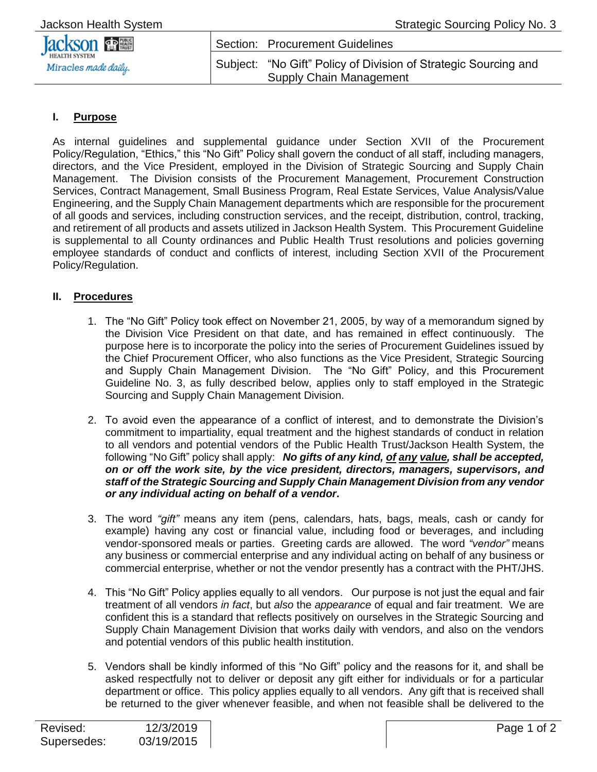| <b>Jackson Health System</b> |  |
|------------------------------|--|
|                              |  |

| <b>Jackson Figure</b> | Section: Procurement Guidelines                                                                   |
|-----------------------|---------------------------------------------------------------------------------------------------|
| Miracles made daily.  | Subject: "No Gift" Policy of Division of Strategic Sourcing and<br><b>Supply Chain Management</b> |

## **I. Purpose**

As internal guidelines and supplemental guidance under Section XVII of the Procurement Policy/Regulation, "Ethics," this "No Gift" Policy shall govern the conduct of all staff, including managers, directors, and the Vice President, employed in the Division of Strategic Sourcing and Supply Chain Management. The Division consists of the Procurement Management, Procurement Construction Services, Contract Management, Small Business Program, Real Estate Services, Value Analysis/Value Engineering, and the Supply Chain Management departments which are responsible for the procurement of all goods and services, including construction services, and the receipt, distribution, control, tracking, and retirement of all products and assets utilized in Jackson Health System. This Procurement Guideline is supplemental to all County ordinances and Public Health Trust resolutions and policies governing employee standards of conduct and conflicts of interest, including Section XVII of the Procurement Policy/Regulation.

## **II. Procedures**

- 1. The "No Gift" Policy took effect on November 21, 2005, by way of a memorandum signed by the Division Vice President on that date, and has remained in effect continuously. The purpose here is to incorporate the policy into the series of Procurement Guidelines issued by the Chief Procurement Officer, who also functions as the Vice President, Strategic Sourcing and Supply Chain Management Division. The "No Gift" Policy, and this Procurement Guideline No. 3, as fully described below, applies only to staff employed in the Strategic Sourcing and Supply Chain Management Division.
- 2. To avoid even the appearance of a conflict of interest, and to demonstrate the Division's commitment to impartiality, equal treatment and the highest standards of conduct in relation to all vendors and potential vendors of the Public Health Trust/Jackson Health System, the following "No Gift" policy shall apply: *No gifts of any kind, of any value, shall be accepted, on or off the work site, by the vice president, directors, managers, supervisors, and staff of the Strategic Sourcing and Supply Chain Management Division from any vendor or any individual acting on behalf of a vendor***.**
- 3. The word *"gift"* means any item (pens, calendars, hats, bags, meals, cash or candy for example) having any cost or financial value, including food or beverages, and including vendor-sponsored meals or parties. Greeting cards are allowed. The word *"vendor"* means any business or commercial enterprise and any individual acting on behalf of any business or commercial enterprise, whether or not the vendor presently has a contract with the PHT/JHS.
- 4. This "No Gift" Policy applies equally to all vendors. Our purpose is not just the equal and fair treatment of all vendors *in fact*, but *also* the *appearance* of equal and fair treatment. We are confident this is a standard that reflects positively on ourselves in the Strategic Sourcing and Supply Chain Management Division that works daily with vendors, and also on the vendors and potential vendors of this public health institution.
- 5. Vendors shall be kindly informed of this "No Gift" policy and the reasons for it, and shall be asked respectfully not to deliver or deposit any gift either for individuals or for a particular department or office. This policy applies equally to all vendors. Any gift that is received shall be returned to the giver whenever feasible, and when not feasible shall be delivered to the